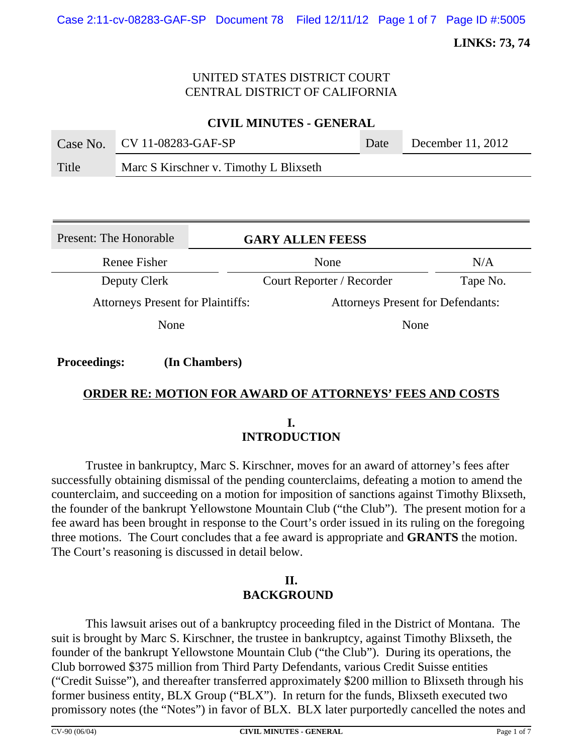# UNITED STATES DISTRICT COURT CENTRAL DISTRICT OF CALIFORNIA

**CIVIL MINUTES - GENERAL**

|       | Case No. $CV 11-08283-GAF-SP$          | Date | December 11, 2012 |
|-------|----------------------------------------|------|-------------------|
| Title | Marc S Kirschner v. Timothy L Blixseth |      |                   |

| Present: The Honorable                   | <b>GARY ALLEN FEESS</b>                  |          |  |
|------------------------------------------|------------------------------------------|----------|--|
| Renee Fisher                             | None                                     | N/A      |  |
| Deputy Clerk                             | Court Reporter / Recorder                | Tape No. |  |
| <b>Attorneys Present for Plaintiffs:</b> | <b>Attorneys Present for Defendants:</b> |          |  |
| None                                     | None                                     |          |  |
|                                          |                                          |          |  |

**Proceedings: (In Chambers)**

# **ORDER RE: MOTION FOR AWARD OF ATTORNEYS' FEES AND COSTS**

**I. INTRODUCTION**

Trustee in bankruptcy, Marc S. Kirschner, moves for an award of attorney's fees after successfully obtaining dismissal of the pending counterclaims, defeating a motion to amend the counterclaim, and succeeding on a motion for imposition of sanctions against Timothy Blixseth, the founder of the bankrupt Yellowstone Mountain Club ("the Club"). The present motion for a fee award has been brought in response to the Court's order issued in its ruling on the foregoing three motions. The Court concludes that a fee award is appropriate and **GRANTS** the motion. The Court's reasoning is discussed in detail below.

## **II. BACKGROUND**

This lawsuit arises out of a bankruptcy proceeding filed in the District of Montana. The suit is brought by Marc S. Kirschner, the trustee in bankruptcy, against Timothy Blixseth, the founder of the bankrupt Yellowstone Mountain Club ("the Club"). During its operations, the Club borrowed \$375 million from Third Party Defendants, various Credit Suisse entities ("Credit Suisse"), and thereafter transferred approximately \$200 million to Blixseth through his former business entity, BLX Group ("BLX"). In return for the funds, Blixseth executed two promissory notes (the "Notes") in favor of BLX. BLX later purportedly cancelled the notes and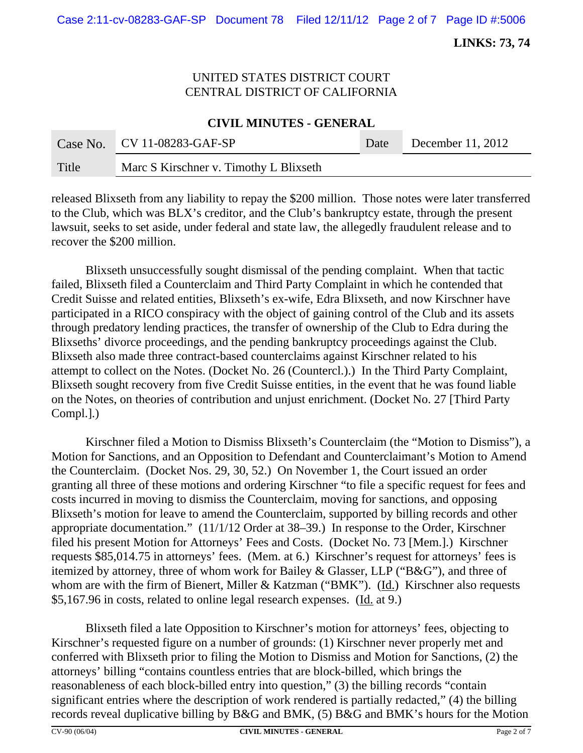## UNITED STATES DISTRICT COURT CENTRAL DISTRICT OF CALIFORNIA

**CIVIL MINUTES - GENERAL**

|       | Case No. $CV 11-08283-GAF-SP$          | Date | December 11, 2012 |
|-------|----------------------------------------|------|-------------------|
| Title | Marc S Kirschner v. Timothy L Blixseth |      |                   |

released Blixseth from any liability to repay the \$200 million. Those notes were later transferred to the Club, which was BLX's creditor, and the Club's bankruptcy estate, through the present lawsuit, seeks to set aside, under federal and state law, the allegedly fraudulent release and to recover the \$200 million.

Blixseth unsuccessfully sought dismissal of the pending complaint. When that tactic failed, Blixseth filed a Counterclaim and Third Party Complaint in which he contended that Credit Suisse and related entities, Blixseth's ex-wife, Edra Blixseth, and now Kirschner have participated in a RICO conspiracy with the object of gaining control of the Club and its assets through predatory lending practices, the transfer of ownership of the Club to Edra during the Blixseths' divorce proceedings, and the pending bankruptcy proceedings against the Club. Blixseth also made three contract-based counterclaims against Kirschner related to his attempt to collect on the Notes. (Docket No. 26 (Countercl.).) In the Third Party Complaint, Blixseth sought recovery from five Credit Suisse entities, in the event that he was found liable on the Notes, on theories of contribution and unjust enrichment. (Docket No. 27 [Third Party Compl.].)

Kirschner filed a Motion to Dismiss Blixseth's Counterclaim (the "Motion to Dismiss"), a Motion for Sanctions, and an Opposition to Defendant and Counterclaimant's Motion to Amend the Counterclaim. (Docket Nos. 29, 30, 52.) On November 1, the Court issued an order granting all three of these motions and ordering Kirschner "to file a specific request for fees and costs incurred in moving to dismiss the Counterclaim, moving for sanctions, and opposing Blixseth's motion for leave to amend the Counterclaim, supported by billing records and other appropriate documentation." (11/1/12 Order at 38–39.) In response to the Order, Kirschner filed his present Motion for Attorneys' Fees and Costs. (Docket No. 73 [Mem.].) Kirschner requests \$85,014.75 in attorneys' fees. (Mem. at 6.) Kirschner's request for attorneys' fees is itemized by attorney, three of whom work for Bailey & Glasser, LLP ("B&G"), and three of whom are with the firm of Bienert, Miller & Katzman ("BMK"). (Id.) Kirschner also requests \$5,167.96 in costs, related to online legal research expenses. (Id. at 9.)

Blixseth filed a late Opposition to Kirschner's motion for attorneys' fees, objecting to Kirschner's requested figure on a number of grounds: (1) Kirschner never properly met and conferred with Blixseth prior to filing the Motion to Dismiss and Motion for Sanctions, (2) the attorneys' billing "contains countless entries that are block-billed, which brings the reasonableness of each block-billed entry into question," (3) the billing records "contain significant entries where the description of work rendered is partially redacted," (4) the billing records reveal duplicative billing by B&G and BMK, (5) B&G and BMK's hours for the Motion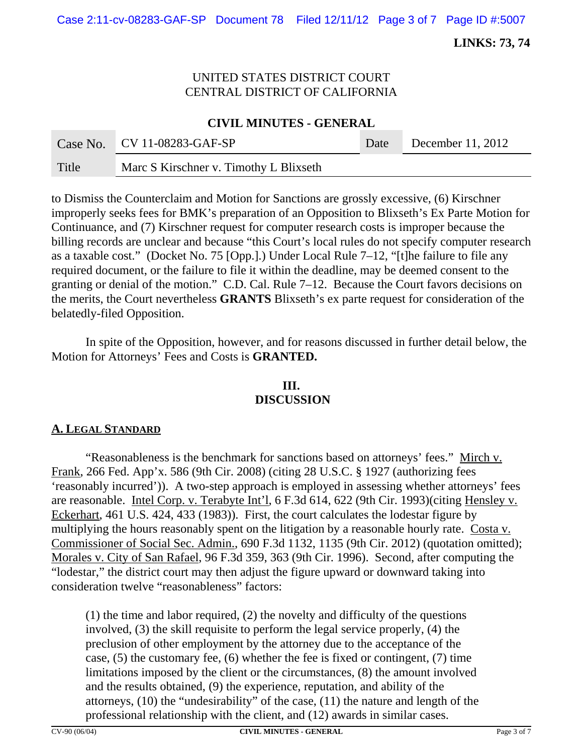## UNITED STATES DISTRICT COURT CENTRAL DISTRICT OF CALIFORNIA

#### **CIVIL MINUTES - GENERAL**

|       | Case No. $CV 11-08283-GAF-SP$          | Date | December 11, 2012 |
|-------|----------------------------------------|------|-------------------|
| Title | Marc S Kirschner v. Timothy L Blixseth |      |                   |

to Dismiss the Counterclaim and Motion for Sanctions are grossly excessive, (6) Kirschner improperly seeks fees for BMK's preparation of an Opposition to Blixseth's Ex Parte Motion for Continuance, and (7) Kirschner request for computer research costs is improper because the billing records are unclear and because "this Court's local rules do not specify computer research as a taxable cost." (Docket No. 75 [Opp.].) Under Local Rule 7–12, "[t]he failure to file any required document, or the failure to file it within the deadline, may be deemed consent to the granting or denial of the motion." C.D. Cal. Rule 7–12. Because the Court favors decisions on the merits, the Court nevertheless **GRANTS** Blixseth's ex parte request for consideration of the belatedly-filed Opposition.

In spite of the Opposition, however, and for reasons discussed in further detail below, the Motion for Attorneys' Fees and Costs is **GRANTED.**

# **III. DISCUSSION**

## **A. LEGAL STANDARD**

"Reasonableness is the benchmark for sanctions based on attorneys' fees." Mirch v. Frank, 266 Fed. App'x. 586 (9th Cir. 2008) (citing 28 U.S.C. § 1927 (authorizing fees 'reasonably incurred')). A two-step approach is employed in assessing whether attorneys' fees are reasonable. Intel Corp. v. Terabyte Int'l, 6 F.3d 614, 622 (9th Cir. 1993)(citing Hensley v. Eckerhart, 461 U.S. 424, 433 (1983)). First, the court calculates the lodestar figure by multiplying the hours reasonably spent on the litigation by a reasonable hourly rate. Costa v. Commissioner of Social Sec. Admin., 690 F.3d 1132, 1135 (9th Cir. 2012) (quotation omitted); Morales v. City of San Rafael, 96 F.3d 359, 363 (9th Cir. 1996). Second, after computing the "lodestar," the district court may then adjust the figure upward or downward taking into consideration twelve "reasonableness" factors:

(1) the time and labor required, (2) the novelty and difficulty of the questions involved, (3) the skill requisite to perform the legal service properly, (4) the preclusion of other employment by the attorney due to the acceptance of the case, (5) the customary fee, (6) whether the fee is fixed or contingent, (7) time limitations imposed by the client or the circumstances, (8) the amount involved and the results obtained, (9) the experience, reputation, and ability of the attorneys, (10) the "undesirability" of the case, (11) the nature and length of the professional relationship with the client, and (12) awards in similar cases.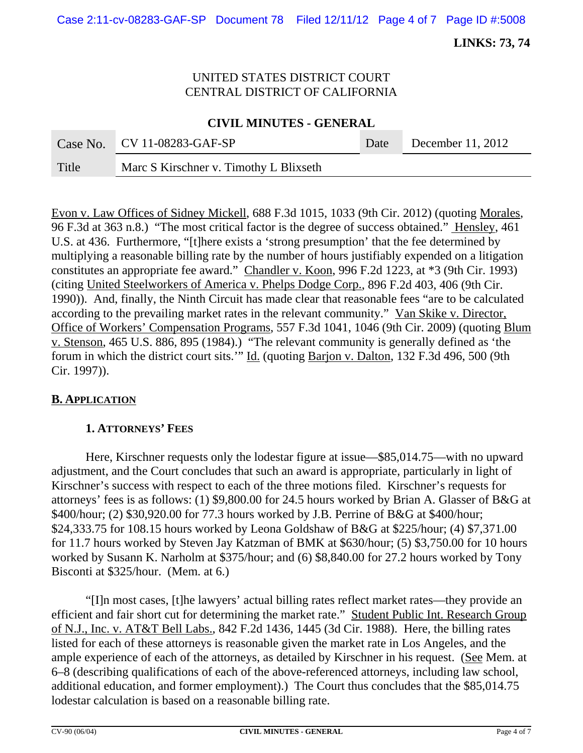## UNITED STATES DISTRICT COURT CENTRAL DISTRICT OF CALIFORNIA

#### **CIVIL MINUTES - GENERAL**

|       | Case No. $CV 11-08283-GAF-SP$          | Date | December 11, 2012 |
|-------|----------------------------------------|------|-------------------|
| Title | Marc S Kirschner v. Timothy L Blixseth |      |                   |

Evon v. Law Offices of Sidney Mickell, 688 F.3d 1015, 1033 (9th Cir. 2012) (quoting Morales, 96 F.3d at 363 n.8.) "The most critical factor is the degree of success obtained." Hensley, 461 U.S. at 436. Furthermore, "[t]here exists a 'strong presumption' that the fee determined by multiplying a reasonable billing rate by the number of hours justifiably expended on a litigation constitutes an appropriate fee award." Chandler v. Koon, 996 F.2d 1223, at \*3 (9th Cir. 1993) (citing United Steelworkers of America v. Phelps Dodge Corp., 896 F.2d 403, 406 (9th Cir. 1990)). And, finally, the Ninth Circuit has made clear that reasonable fees "are to be calculated according to the prevailing market rates in the relevant community." Van Skike v. Director, Office of Workers' Compensation Programs, 557 F.3d 1041, 1046 (9th Cir. 2009) (quoting Blum v. Stenson, 465 U.S. 886, 895 (1984).) "The relevant community is generally defined as 'the forum in which the district court sits.'" Id. (quoting Barjon v. Dalton, 132 F.3d 496, 500 (9th Cir. 1997)).

## **B. APPLICATION**

## **1. ATTORNEYS' FEES**

Here, Kirschner requests only the lodestar figure at issue—\$85,014.75—with no upward adjustment, and the Court concludes that such an award is appropriate, particularly in light of Kirschner's success with respect to each of the three motions filed. Kirschner's requests for attorneys' fees is as follows: (1) \$9,800.00 for 24.5 hours worked by Brian A. Glasser of B&G at \$400/hour; (2) \$30,920.00 for 77.3 hours worked by J.B. Perrine of B&G at \$400/hour; \$24,333.75 for 108.15 hours worked by Leona Goldshaw of B&G at \$225/hour; (4) \$7,371.00 for 11.7 hours worked by Steven Jay Katzman of BMK at \$630/hour; (5) \$3,750.00 for 10 hours worked by Susann K. Narholm at \$375/hour; and (6) \$8,840.00 for 27.2 hours worked by Tony Bisconti at \$325/hour. (Mem. at 6.)

"[I]n most cases, [t]he lawyers' actual billing rates reflect market rates—they provide an efficient and fair short cut for determining the market rate." Student Public Int. Research Group of N.J., Inc. v. AT&T Bell Labs., 842 F.2d 1436, 1445 (3d Cir. 1988). Here, the billing rates listed for each of these attorneys is reasonable given the market rate in Los Angeles, and the ample experience of each of the attorneys, as detailed by Kirschner in his request. (See Mem. at 6–8 (describing qualifications of each of the above-referenced attorneys, including law school, additional education, and former employment).) The Court thus concludes that the \$85,014.75 lodestar calculation is based on a reasonable billing rate.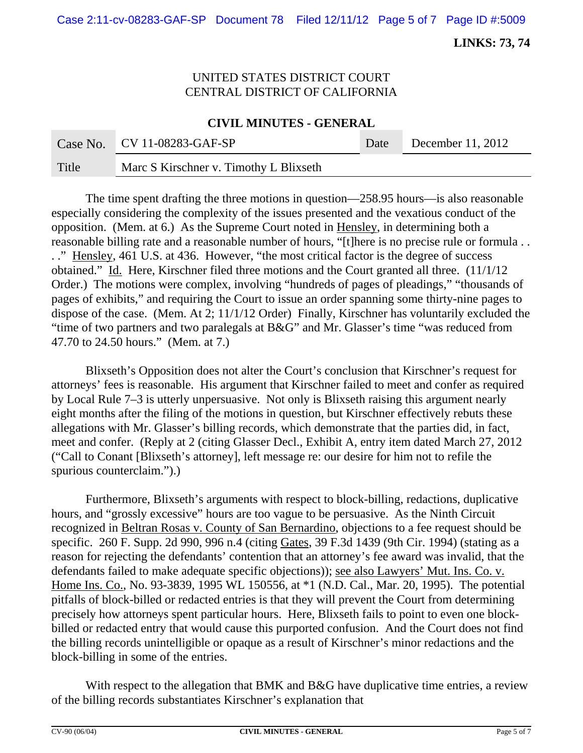## UNITED STATES DISTRICT COURT CENTRAL DISTRICT OF CALIFORNIA

**CIVIL MINUTES - GENERAL**

|       | Case No. $CV 11-08283-GAF-SP$          | Date | December 11, 2012 |
|-------|----------------------------------------|------|-------------------|
| Title | Marc S Kirschner v. Timothy L Blixseth |      |                   |

The time spent drafting the three motions in question—258.95 hours—is also reasonable especially considering the complexity of the issues presented and the vexatious conduct of the opposition. (Mem. at 6.) As the Supreme Court noted in Hensley, in determining both a reasonable billing rate and a reasonable number of hours, "[t]here is no precise rule or formula . . . ." Hensley, 461 U.S. at 436. However, "the most critical factor is the degree of success obtained." Id. Here, Kirschner filed three motions and the Court granted all three. (11/1/12 Order.) The motions were complex, involving "hundreds of pages of pleadings," "thousands of pages of exhibits," and requiring the Court to issue an order spanning some thirty-nine pages to dispose of the case. (Mem. At 2; 11/1/12 Order) Finally, Kirschner has voluntarily excluded the "time of two partners and two paralegals at B&G" and Mr. Glasser's time "was reduced from 47.70 to 24.50 hours." (Mem. at 7.)

Blixseth's Opposition does not alter the Court's conclusion that Kirschner's request for attorneys' fees is reasonable. His argument that Kirschner failed to meet and confer as required by Local Rule 7–3 is utterly unpersuasive. Not only is Blixseth raising this argument nearly eight months after the filing of the motions in question, but Kirschner effectively rebuts these allegations with Mr. Glasser's billing records, which demonstrate that the parties did, in fact, meet and confer. (Reply at 2 (citing Glasser Decl., Exhibit A, entry item dated March 27, 2012 ("Call to Conant [Blixseth's attorney], left message re: our desire for him not to refile the spurious counterclaim.").)

Furthermore, Blixseth's arguments with respect to block-billing, redactions, duplicative hours, and "grossly excessive" hours are too vague to be persuasive. As the Ninth Circuit recognized in Beltran Rosas v. County of San Bernardino, objections to a fee request should be specific. 260 F. Supp. 2d 990, 996 n.4 (citing Gates, 39 F.3d 1439 (9th Cir. 1994) (stating as a reason for rejecting the defendants' contention that an attorney's fee award was invalid, that the defendants failed to make adequate specific objections)); see also Lawyers' Mut. Ins. Co. v. Home Ins. Co., No. 93-3839, 1995 WL 150556, at \*1 (N.D. Cal., Mar. 20, 1995). The potential pitfalls of block-billed or redacted entries is that they will prevent the Court from determining precisely how attorneys spent particular hours. Here, Blixseth fails to point to even one blockbilled or redacted entry that would cause this purported confusion. And the Court does not find the billing records unintelligible or opaque as a result of Kirschner's minor redactions and the block-billing in some of the entries.

With respect to the allegation that BMK and B&G have duplicative time entries, a review of the billing records substantiates Kirschner's explanation that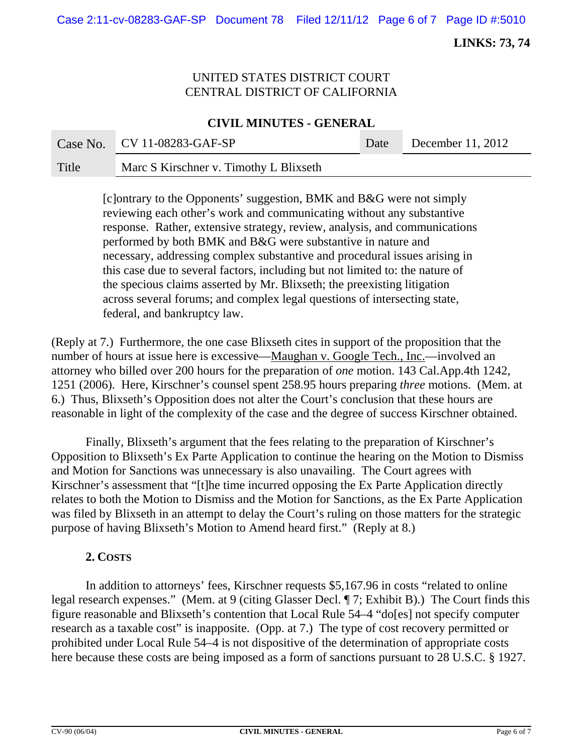## UNITED STATES DISTRICT COURT CENTRAL DISTRICT OF CALIFORNIA

#### **CIVIL MINUTES - GENERAL**

|       | Case No. $CV 11-08283-GAF-SP$          | Date | December 11, 2012 |
|-------|----------------------------------------|------|-------------------|
| Title | Marc S Kirschner v. Timothy L Blixseth |      |                   |

[c]ontrary to the Opponents' suggestion, BMK and B&G were not simply reviewing each other's work and communicating without any substantive response. Rather, extensive strategy, review, analysis, and communications performed by both BMK and B&G were substantive in nature and necessary, addressing complex substantive and procedural issues arising in this case due to several factors, including but not limited to: the nature of the specious claims asserted by Mr. Blixseth; the preexisting litigation across several forums; and complex legal questions of intersecting state, federal, and bankruptcy law.

(Reply at 7.) Furthermore, the one case Blixseth cites in support of the proposition that the number of hours at issue here is excessive—Maughan v. Google Tech., Inc.—involved an attorney who billed over 200 hours for the preparation of *one* motion. 143 Cal.App.4th 1242, 1251 (2006). Here, Kirschner's counsel spent 258.95 hours preparing *three* motions. (Mem. at 6.) Thus, Blixseth's Opposition does not alter the Court's conclusion that these hours are reasonable in light of the complexity of the case and the degree of success Kirschner obtained.

Finally, Blixseth's argument that the fees relating to the preparation of Kirschner's Opposition to Blixseth's Ex Parte Application to continue the hearing on the Motion to Dismiss and Motion for Sanctions was unnecessary is also unavailing. The Court agrees with Kirschner's assessment that "[t]he time incurred opposing the Ex Parte Application directly relates to both the Motion to Dismiss and the Motion for Sanctions, as the Ex Parte Application was filed by Blixseth in an attempt to delay the Court's ruling on those matters for the strategic purpose of having Blixseth's Motion to Amend heard first." (Reply at 8.)

## **2. COSTS**

In addition to attorneys' fees, Kirschner requests \$5,167.96 in costs "related to online legal research expenses." (Mem. at 9 (citing Glasser Decl. ¶ 7; Exhibit B).) The Court finds this figure reasonable and Blixseth's contention that Local Rule 54–4 "do[es] not specify computer research as a taxable cost" is inapposite. (Opp. at 7.) The type of cost recovery permitted or prohibited under Local Rule 54–4 is not dispositive of the determination of appropriate costs here because these costs are being imposed as a form of sanctions pursuant to 28 U.S.C. § 1927.